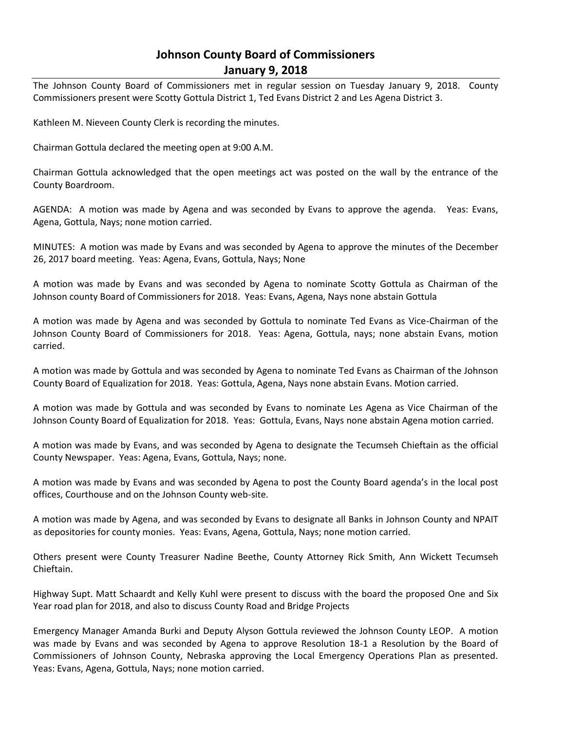# **Johnson County Board of Commissioners January 9, 2018**

The Johnson County Board of Commissioners met in regular session on Tuesday January 9, 2018. County Commissioners present were Scotty Gottula District 1, Ted Evans District 2 and Les Agena District 3.

Kathleen M. Nieveen County Clerk is recording the minutes.

Chairman Gottula declared the meeting open at 9:00 A.M.

Chairman Gottula acknowledged that the open meetings act was posted on the wall by the entrance of the County Boardroom.

AGENDA: A motion was made by Agena and was seconded by Evans to approve the agenda. Yeas: Evans, Agena, Gottula, Nays; none motion carried.

MINUTES: A motion was made by Evans and was seconded by Agena to approve the minutes of the December 26, 2017 board meeting. Yeas: Agena, Evans, Gottula, Nays; None

A motion was made by Evans and was seconded by Agena to nominate Scotty Gottula as Chairman of the Johnson county Board of Commissioners for 2018. Yeas: Evans, Agena, Nays none abstain Gottula

A motion was made by Agena and was seconded by Gottula to nominate Ted Evans as Vice-Chairman of the Johnson County Board of Commissioners for 2018. Yeas: Agena, Gottula, nays; none abstain Evans, motion carried.

A motion was made by Gottula and was seconded by Agena to nominate Ted Evans as Chairman of the Johnson County Board of Equalization for 2018. Yeas: Gottula, Agena, Nays none abstain Evans. Motion carried.

A motion was made by Gottula and was seconded by Evans to nominate Les Agena as Vice Chairman of the Johnson County Board of Equalization for 2018. Yeas: Gottula, Evans, Nays none abstain Agena motion carried.

A motion was made by Evans, and was seconded by Agena to designate the Tecumseh Chieftain as the official County Newspaper. Yeas: Agena, Evans, Gottula, Nays; none.

A motion was made by Evans and was seconded by Agena to post the County Board agenda's in the local post offices, Courthouse and on the Johnson County web-site.

A motion was made by Agena, and was seconded by Evans to designate all Banks in Johnson County and NPAIT as depositories for county monies. Yeas: Evans, Agena, Gottula, Nays; none motion carried.

Others present were County Treasurer Nadine Beethe, County Attorney Rick Smith, Ann Wickett Tecumseh Chieftain.

Highway Supt. Matt Schaardt and Kelly Kuhl were present to discuss with the board the proposed One and Six Year road plan for 2018, and also to discuss County Road and Bridge Projects

Emergency Manager Amanda Burki and Deputy Alyson Gottula reviewed the Johnson County LEOP. A motion was made by Evans and was seconded by Agena to approve Resolution 18-1 a Resolution by the Board of Commissioners of Johnson County, Nebraska approving the Local Emergency Operations Plan as presented. Yeas: Evans, Agena, Gottula, Nays; none motion carried.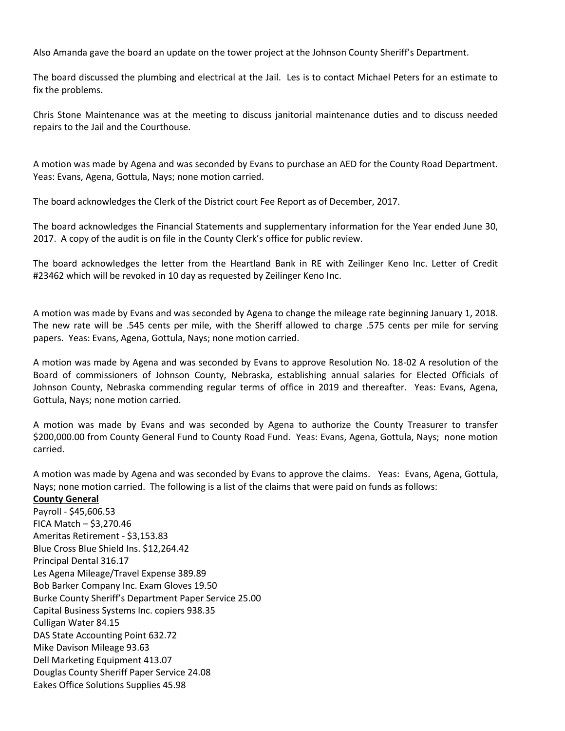Also Amanda gave the board an update on the tower project at the Johnson County Sheriff's Department.

The board discussed the plumbing and electrical at the Jail. Les is to contact Michael Peters for an estimate to fix the problems.

Chris Stone Maintenance was at the meeting to discuss janitorial maintenance duties and to discuss needed repairs to the Jail and the Courthouse.

A motion was made by Agena and was seconded by Evans to purchase an AED for the County Road Department. Yeas: Evans, Agena, Gottula, Nays; none motion carried.

The board acknowledges the Clerk of the District court Fee Report as of December, 2017.

The board acknowledges the Financial Statements and supplementary information for the Year ended June 30, 2017. A copy of the audit is on file in the County Clerk's office for public review.

The board acknowledges the letter from the Heartland Bank in RE with Zeilinger Keno Inc. Letter of Credit #23462 which will be revoked in 10 day as requested by Zeilinger Keno Inc.

A motion was made by Evans and was seconded by Agena to change the mileage rate beginning January 1, 2018. The new rate will be .545 cents per mile, with the Sheriff allowed to charge .575 cents per mile for serving papers. Yeas: Evans, Agena, Gottula, Nays; none motion carried.

A motion was made by Agena and was seconded by Evans to approve Resolution No. 18-02 A resolution of the Board of commissioners of Johnson County, Nebraska, establishing annual salaries for Elected Officials of Johnson County, Nebraska commending regular terms of office in 2019 and thereafter. Yeas: Evans, Agena, Gottula, Nays; none motion carried.

A motion was made by Evans and was seconded by Agena to authorize the County Treasurer to transfer \$200,000.00 from County General Fund to County Road Fund. Yeas: Evans, Agena, Gottula, Nays; none motion carried.

A motion was made by Agena and was seconded by Evans to approve the claims. Yeas: Evans, Agena, Gottula, Nays; none motion carried. The following is a list of the claims that were paid on funds as follows:

#### **County General**

Payroll - \$45,606.53 FICA Match – \$3,270.46 Ameritas Retirement - \$3,153.83 Blue Cross Blue Shield Ins. \$12,264.42 Principal Dental 316.17 Les Agena Mileage/Travel Expense 389.89 Bob Barker Company Inc. Exam Gloves 19.50 Burke County Sheriff's Department Paper Service 25.00 Capital Business Systems Inc. copiers 938.35 Culligan Water 84.15 DAS State Accounting Point 632.72 Mike Davison Mileage 93.63 Dell Marketing Equipment 413.07 Douglas County Sheriff Paper Service 24.08 Eakes Office Solutions Supplies 45.98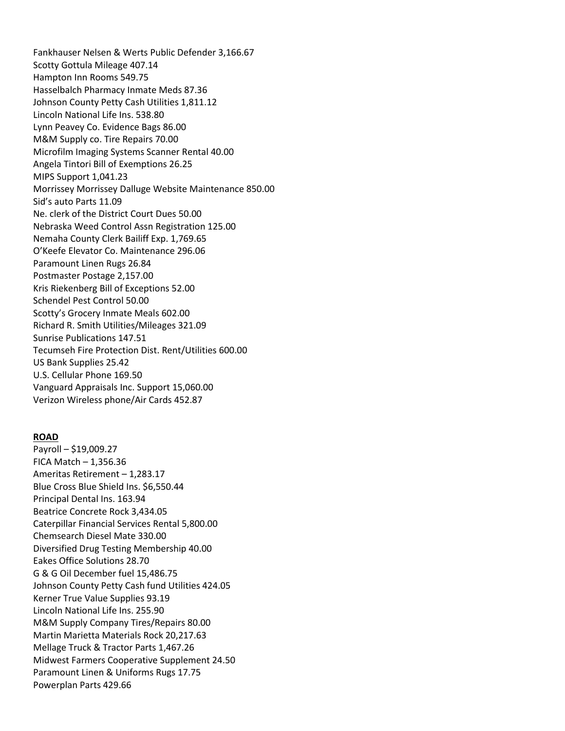Fankhauser Nelsen & Werts Public Defender 3,166.67 Scotty Gottula Mileage 407.14 Hampton Inn Rooms 549.75 Hasselbalch Pharmacy Inmate Meds 87.36 Johnson County Petty Cash Utilities 1,811.12 Lincoln National Life Ins. 538.80 Lynn Peavey Co. Evidence Bags 86.00 M&M Supply co. Tire Repairs 70.00 Microfilm Imaging Systems Scanner Rental 40.00 Angela Tintori Bill of Exemptions 26.25 MIPS Support 1,041.23 Morrissey Morrissey Dalluge Website Maintenance 850.00 Sid's auto Parts 11.09 Ne. clerk of the District Court Dues 50.00 Nebraska Weed Control Assn Registration 125.00 Nemaha County Clerk Bailiff Exp. 1,769.65 O'Keefe Elevator Co. Maintenance 296.06 Paramount Linen Rugs 26.84 Postmaster Postage 2,157.00 Kris Riekenberg Bill of Exceptions 52.00 Schendel Pest Control 50.00 Scotty's Grocery Inmate Meals 602.00 Richard R. Smith Utilities/Mileages 321.09 Sunrise Publications 147.51 Tecumseh Fire Protection Dist. Rent/Utilities 600.00 US Bank Supplies 25.42 U.S. Cellular Phone 169.50 Vanguard Appraisals Inc. Support 15,060.00 Verizon Wireless phone/Air Cards 452.87

#### **ROAD**

Payroll – \$19,009.27 FICA Match – 1,356.36 Ameritas Retirement – 1,283.17 Blue Cross Blue Shield Ins. \$6,550.44 Principal Dental Ins. 163.94 Beatrice Concrete Rock 3,434.05 Caterpillar Financial Services Rental 5,800.00 Chemsearch Diesel Mate 330.00 Diversified Drug Testing Membership 40.00 Eakes Office Solutions 28.70 G & G Oil December fuel 15,486.75 Johnson County Petty Cash fund Utilities 424.05 Kerner True Value Supplies 93.19 Lincoln National Life Ins. 255.90 M&M Supply Company Tires/Repairs 80.00 Martin Marietta Materials Rock 20,217.63 Mellage Truck & Tractor Parts 1,467.26 Midwest Farmers Cooperative Supplement 24.50 Paramount Linen & Uniforms Rugs 17.75 Powerplan Parts 429.66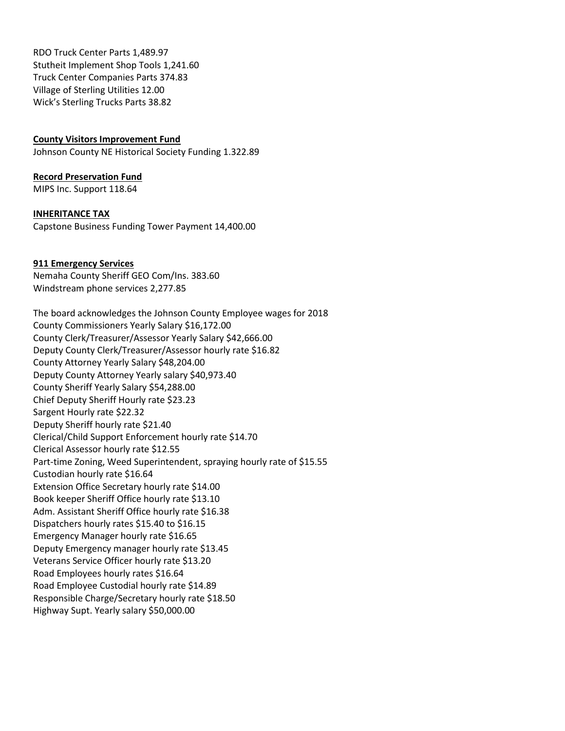RDO Truck Center Parts 1,489.97 Stutheit Implement Shop Tools 1,241.60 Truck Center Companies Parts 374.83 Village of Sterling Utilities 12.00 Wick's Sterling Trucks Parts 38.82

## **County Visitors Improvement Fund**

Johnson County NE Historical Society Funding 1.322.89

## **Record Preservation Fund**

MIPS Inc. Support 118.64

## **INHERITANCE TAX**

Capstone Business Funding Tower Payment 14,400.00

# **911 Emergency Services**

Nemaha County Sheriff GEO Com/Ins. 383.60 Windstream phone services 2,277.85

The board acknowledges the Johnson County Employee wages for 2018 County Commissioners Yearly Salary \$16,172.00 County Clerk/Treasurer/Assessor Yearly Salary \$42,666.00 Deputy County Clerk/Treasurer/Assessor hourly rate \$16.82 County Attorney Yearly Salary \$48,204.00 Deputy County Attorney Yearly salary \$40,973.40 County Sheriff Yearly Salary \$54,288.00 Chief Deputy Sheriff Hourly rate \$23.23 Sargent Hourly rate \$22.32 Deputy Sheriff hourly rate \$21.40 Clerical/Child Support Enforcement hourly rate \$14.70 Clerical Assessor hourly rate \$12.55 Part-time Zoning, Weed Superintendent, spraying hourly rate of \$15.55 Custodian hourly rate \$16.64 Extension Office Secretary hourly rate \$14.00 Book keeper Sheriff Office hourly rate \$13.10 Adm. Assistant Sheriff Office hourly rate \$16.38 Dispatchers hourly rates \$15.40 to \$16.15 Emergency Manager hourly rate \$16.65 Deputy Emergency manager hourly rate \$13.45 Veterans Service Officer hourly rate \$13.20 Road Employees hourly rates \$16.64 Road Employee Custodial hourly rate \$14.89 Responsible Charge/Secretary hourly rate \$18.50 Highway Supt. Yearly salary \$50,000.00